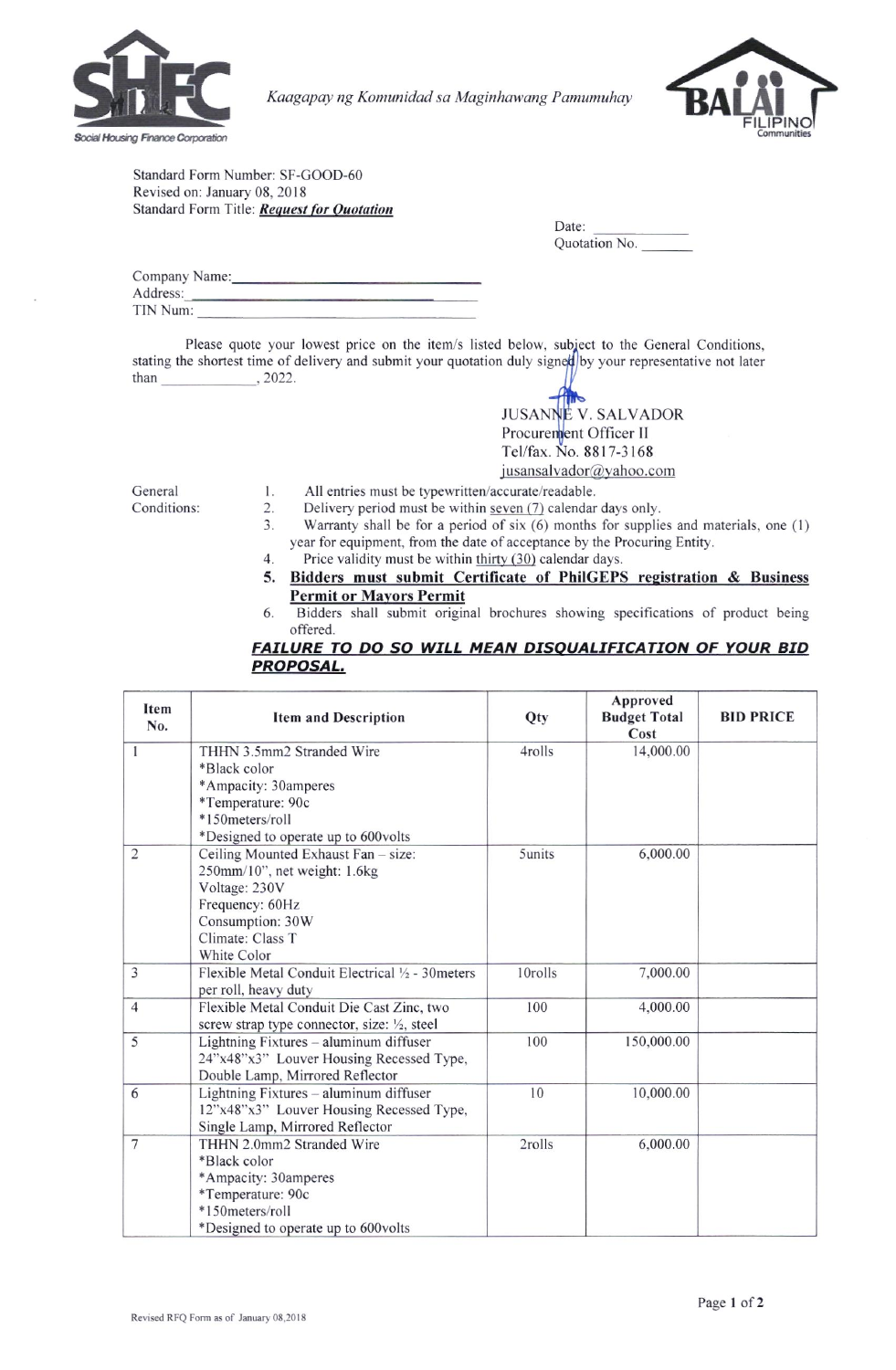

Kaagapay ng Komunidad sa Maginhawang Pamumuhay



Standard Form Number: SF-GOOD-60 Revised on: January 08, 2018 Standard Form Title: Request for Quotation

| Date.         |  |
|---------------|--|
| Quotation No. |  |

 $\mathbf{D}$ 

| Company Name: |  |
|---------------|--|
| Address:      |  |
| TIN Num:      |  |

Please quote your lowest price on the item/s listed below, subject to the General Conditions, stating the shortest time of delivery and submit your quotation duly signed by your representative not later than  $, 2022.$ 

> **JUSANNE V. SALVADOR** Procurement Officer II Tel/fax. No. 8817-3168 jusansalvador@yahoo.com

General Conditions:

- 1. All entries must be typewritten/accurate/readable.
- $2.$ Delivery period must be within seven (7) calendar days only.
- 3. Warranty shall be for a period of six  $(6)$  months for supplies and materials, one  $(1)$ year for equipment, from the date of acceptance by the Procuring Entity.
- $\overline{4}$ . Price validity must be within thirty (30) calendar days.
- Bidders must submit Certificate of PhilGEPS registration & Business 5. **Permit or Mayors Permit**
- 6. Bidders shall submit original brochures showing specifications of product being offered.

## FAILURE TO DO SO WILL MEAN DISQUALIFICATION OF YOUR BID **PROPOSAL.**

| Item<br>No.    | <b>Item and Description</b>                       | Qty     | Approved<br><b>Budget Total</b><br>Cost | <b>BID PRICE</b> |
|----------------|---------------------------------------------------|---------|-----------------------------------------|------------------|
| 1              | THHN 3.5mm2 Stranded Wire                         | 4rolls  | 14,000.00                               |                  |
|                | *Black color                                      |         |                                         |                  |
|                | *Ampacity: 30amperes                              |         |                                         |                  |
|                | *Temperature: 90c                                 |         |                                         |                  |
|                | *150meters/roll                                   |         |                                         |                  |
|                | *Designed to operate up to 600volts               |         |                                         |                  |
| $\overline{2}$ | Ceiling Mounted Exhaust Fan - size:               | 5units  | 6,000.00                                |                  |
|                | 250mm/10", net weight: 1.6kg                      |         |                                         |                  |
|                | Voltage: 230V                                     |         |                                         |                  |
|                | Frequency: 60Hz                                   |         |                                         |                  |
|                | Consumption: 30W                                  |         |                                         |                  |
|                | Climate: Class T                                  |         |                                         |                  |
|                | White Color                                       |         |                                         |                  |
| 3              | Flexible Metal Conduit Electrical 1/2 - 30 meters | 10rolls | 7,000.00                                |                  |
|                | per roll, heavy duty                              |         |                                         |                  |
| $\overline{4}$ | Flexible Metal Conduit Die Cast Zinc, two         | 100     | 4,000.00                                |                  |
|                | screw strap type connector, size: 1/2, steel      |         |                                         |                  |
| 5              | Lightning Fixtures - aluminum diffuser            | 100     | 150,000.00                              |                  |
|                | 24"x48"x3" Louver Housing Recessed Type,          |         |                                         |                  |
|                | Double Lamp, Mirrored Reflector                   |         |                                         |                  |
| 6              | Lightning Fixtures - aluminum diffuser            | 10      | 10,000.00                               |                  |
|                | 12"x48"x3" Louver Housing Recessed Type,          |         |                                         |                  |
|                | Single Lamp, Mirrored Reflector                   |         |                                         |                  |
| $\overline{7}$ | THHN 2.0mm2 Stranded Wire                         | 2rolls  | 6,000.00                                |                  |
|                | *Black color                                      |         |                                         |                  |
|                | *Ampacity: 30amperes                              |         |                                         |                  |
|                | *Temperature: 90c                                 |         |                                         |                  |
|                | *150meters/roll                                   |         |                                         |                  |
|                | *Designed to operate up to 600volts               |         |                                         |                  |